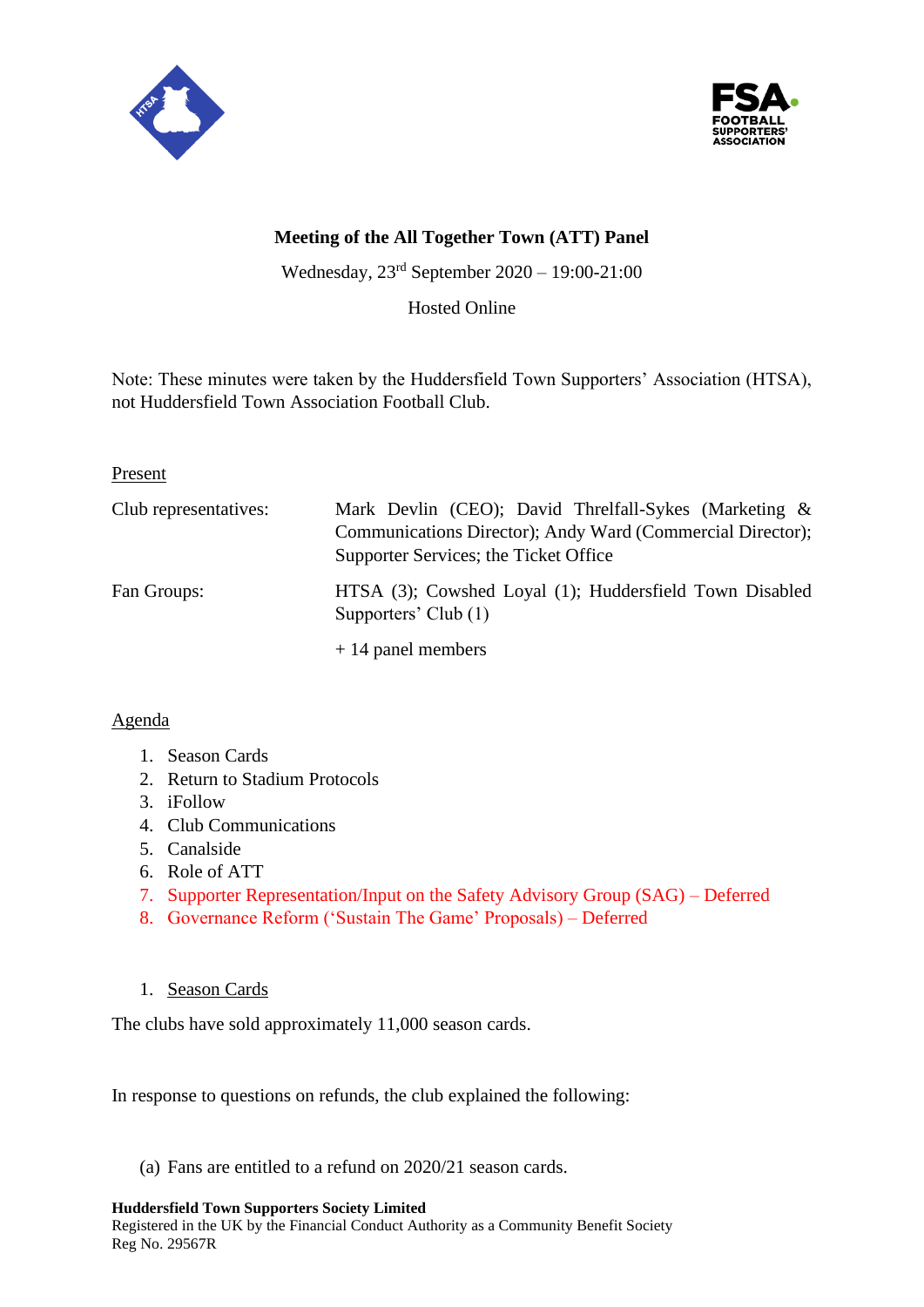



# **Meeting of the All Together Town (ATT) Panel**

Wednesday, 23rd September 2020 – 19:00-21:00

Hosted Online

Note: These minutes were taken by the Huddersfield Town Supporters' Association (HTSA), not Huddersfield Town Association Football Club.

Present

| Club representatives: | Mark Devlin (CEO); David Threlfall-Sykes (Marketing &<br>Communications Director); Andy Ward (Commercial Director);<br>Supporter Services; the Ticket Office |
|-----------------------|--------------------------------------------------------------------------------------------------------------------------------------------------------------|
| Fan Groups:           | HTSA (3); Cowshed Loyal (1); Huddersfield Town Disabled<br>Supporters' Club (1)                                                                              |
|                       | $+14$ panel members                                                                                                                                          |

### Agenda

- 1. Season Cards
- 2. Return to Stadium Protocols
- 3. iFollow
- 4. Club Communications
- 5. Canalside
- 6. Role of ATT
- 7. Supporter Representation/Input on the Safety Advisory Group (SAG) Deferred
- 8. Governance Reform ('Sustain The Game' Proposals) Deferred
- 1. Season Cards

The clubs have sold approximately 11,000 season cards.

In response to questions on refunds, the club explained the following:

(a) Fans are entitled to a refund on 2020/21 season cards.

#### **Huddersfield Town Supporters Society Limited**

Registered in the UK by the Financial Conduct Authority as a Community Benefit Society Reg No. 29567R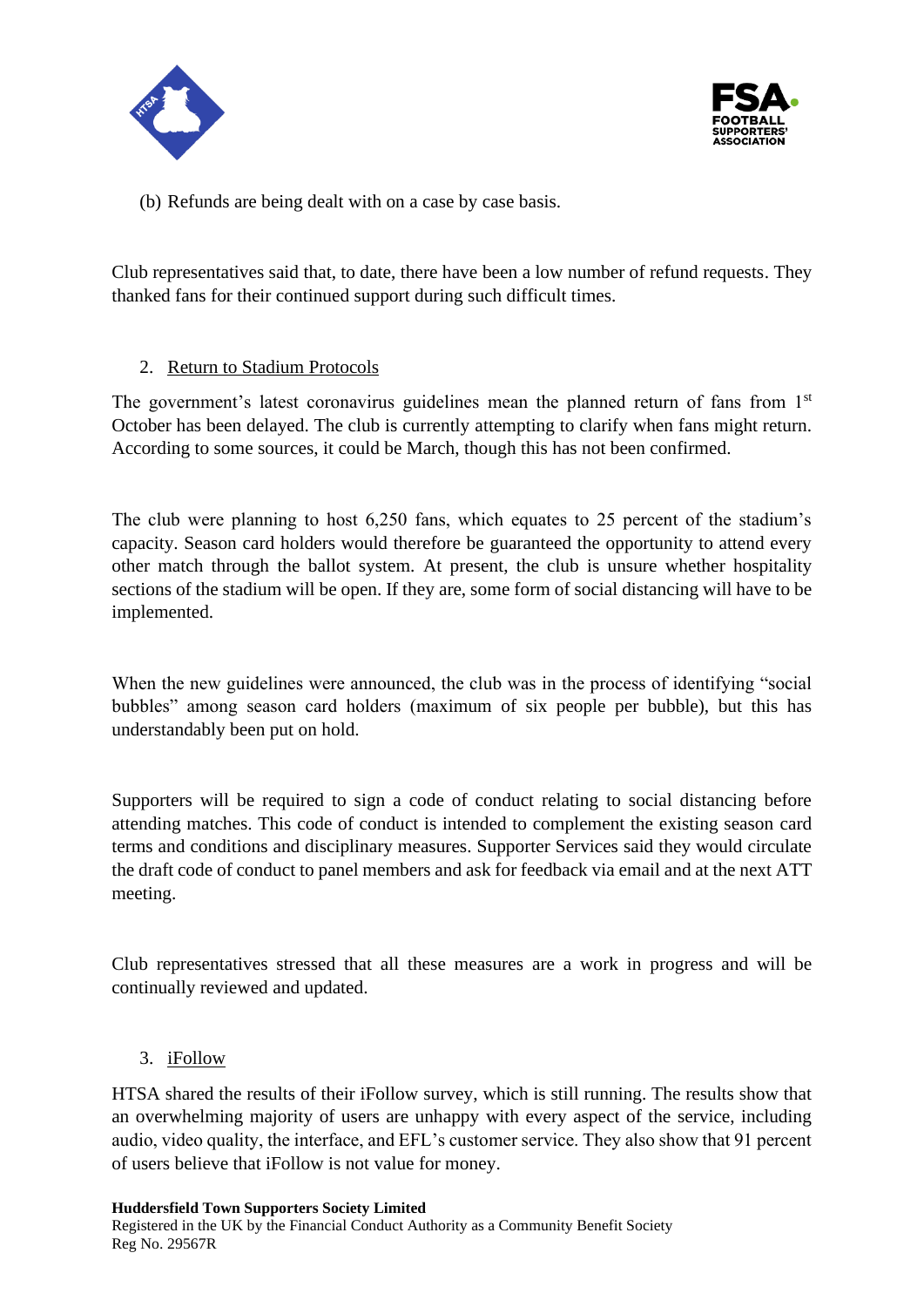



(b) Refunds are being dealt with on a case by case basis.

Club representatives said that, to date, there have been a low number of refund requests. They thanked fans for their continued support during such difficult times.

# 2. Return to Stadium Protocols

The government's latest coronavirus guidelines mean the planned return of fans from 1<sup>st</sup> October has been delayed. The club is currently attempting to clarify when fans might return. According to some sources, it could be March, though this has not been confirmed.

The club were planning to host 6,250 fans, which equates to 25 percent of the stadium's capacity. Season card holders would therefore be guaranteed the opportunity to attend every other match through the ballot system. At present, the club is unsure whether hospitality sections of the stadium will be open. If they are, some form of social distancing will have to be implemented.

When the new guidelines were announced, the club was in the process of identifying "social bubbles" among season card holders (maximum of six people per bubble), but this has understandably been put on hold.

Supporters will be required to sign a code of conduct relating to social distancing before attending matches. This code of conduct is intended to complement the existing season card terms and conditions and disciplinary measures. Supporter Services said they would circulate the draft code of conduct to panel members and ask for feedback via email and at the next ATT meeting.

Club representatives stressed that all these measures are a work in progress and will be continually reviewed and updated.

### 3. iFollow

HTSA shared the results of their iFollow survey, which is still running. The results show that an overwhelming majority of users are unhappy with every aspect of the service, including audio, video quality, the interface, and EFL's customer service. They also show that 91 percent of users believe that iFollow is not value for money.

Registered in the UK by the Financial Conduct Authority as a Community Benefit Society Reg No. 29567R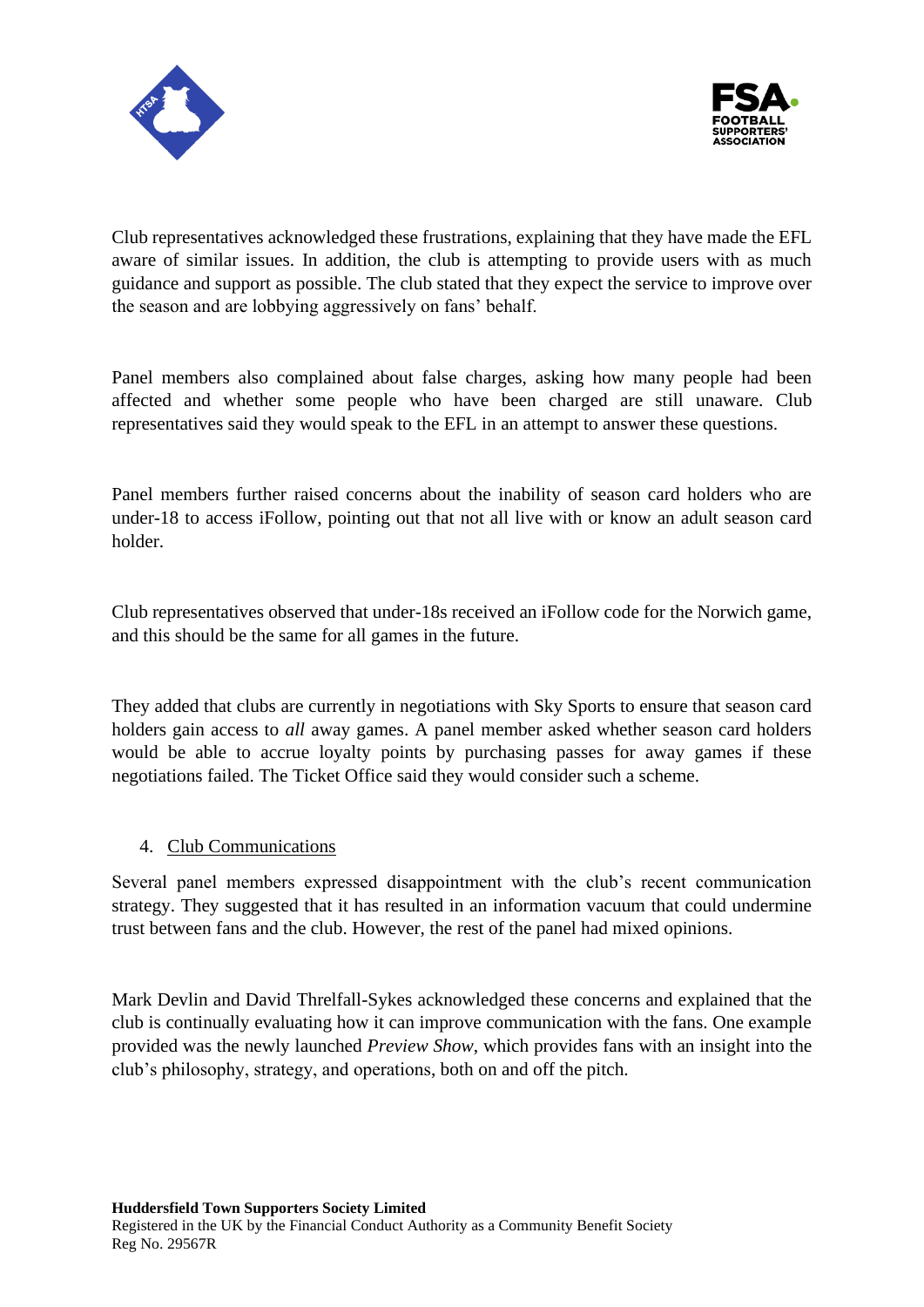



Club representatives acknowledged these frustrations, explaining that they have made the EFL aware of similar issues. In addition, the club is attempting to provide users with as much guidance and support as possible. The club stated that they expect the service to improve over the season and are lobbying aggressively on fans' behalf.

Panel members also complained about false charges, asking how many people had been affected and whether some people who have been charged are still unaware. Club representatives said they would speak to the EFL in an attempt to answer these questions.

Panel members further raised concerns about the inability of season card holders who are under-18 to access iFollow, pointing out that not all live with or know an adult season card holder.

Club representatives observed that under-18s received an iFollow code for the Norwich game, and this should be the same for all games in the future.

They added that clubs are currently in negotiations with Sky Sports to ensure that season card holders gain access to *all* away games. A panel member asked whether season card holders would be able to accrue loyalty points by purchasing passes for away games if these negotiations failed. The Ticket Office said they would consider such a scheme.

### 4. Club Communications

Several panel members expressed disappointment with the club's recent communication strategy. They suggested that it has resulted in an information vacuum that could undermine trust between fans and the club. However, the rest of the panel had mixed opinions.

Mark Devlin and David Threlfall-Sykes acknowledged these concerns and explained that the club is continually evaluating how it can improve communication with the fans. One example provided was the newly launched *Preview Show*, which provides fans with an insight into the club's philosophy, strategy, and operations, both on and off the pitch.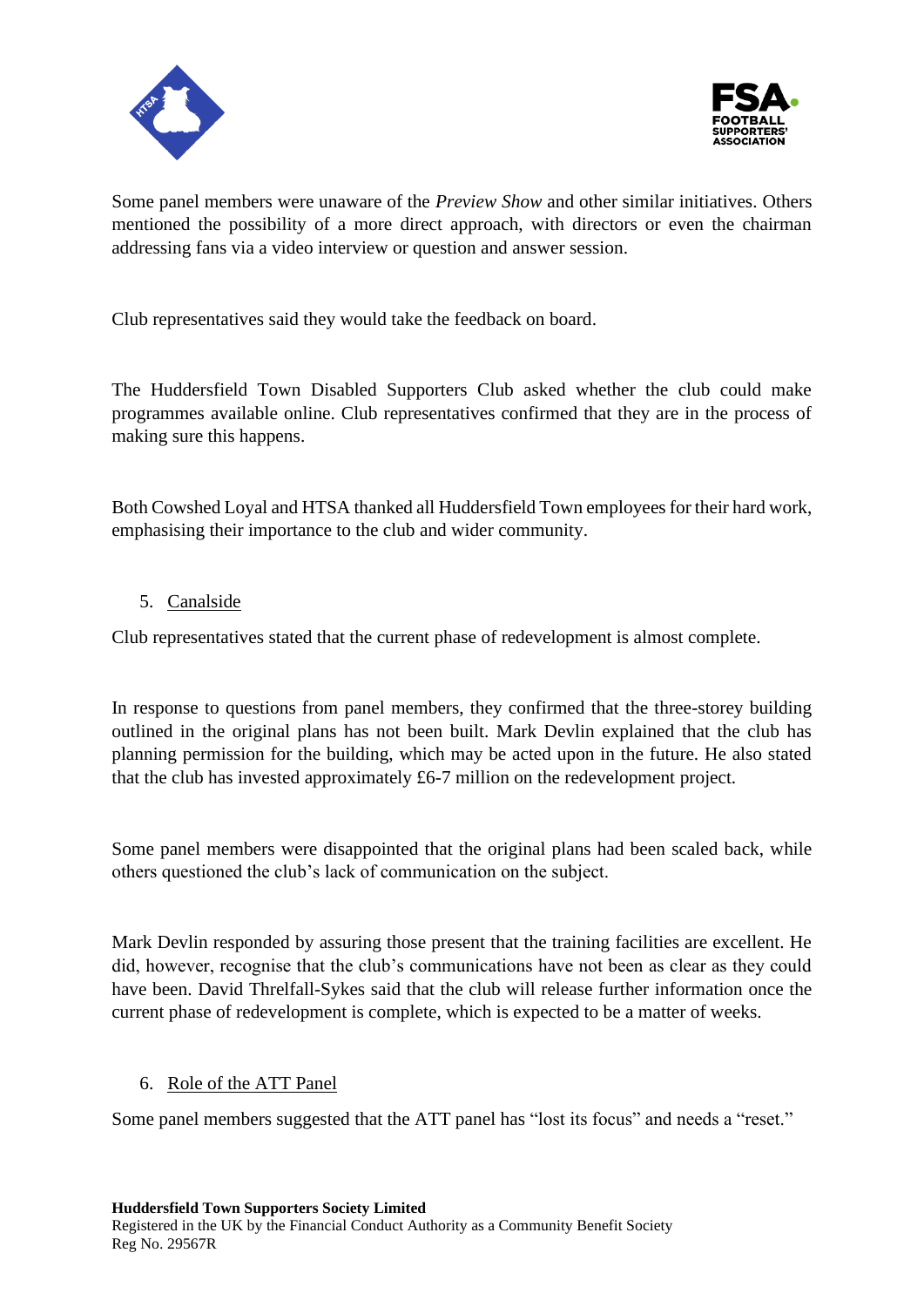



Some panel members were unaware of the *Preview Show* and other similar initiatives. Others mentioned the possibility of a more direct approach, with directors or even the chairman addressing fans via a video interview or question and answer session.

Club representatives said they would take the feedback on board.

The Huddersfield Town Disabled Supporters Club asked whether the club could make programmes available online. Club representatives confirmed that they are in the process of making sure this happens.

Both Cowshed Loyal and HTSA thanked all Huddersfield Town employees for their hard work, emphasising their importance to the club and wider community.

### 5. Canalside

Club representatives stated that the current phase of redevelopment is almost complete.

In response to questions from panel members, they confirmed that the three-storey building outlined in the original plans has not been built. Mark Devlin explained that the club has planning permission for the building, which may be acted upon in the future. He also stated that the club has invested approximately £6-7 million on the redevelopment project.

Some panel members were disappointed that the original plans had been scaled back, while others questioned the club's lack of communication on the subject.

Mark Devlin responded by assuring those present that the training facilities are excellent. He did, however, recognise that the club's communications have not been as clear as they could have been. David Threlfall-Sykes said that the club will release further information once the current phase of redevelopment is complete, which is expected to be a matter of weeks.

### 6. Role of the ATT Panel

Some panel members suggested that the ATT panel has "lost its focus" and needs a "reset."